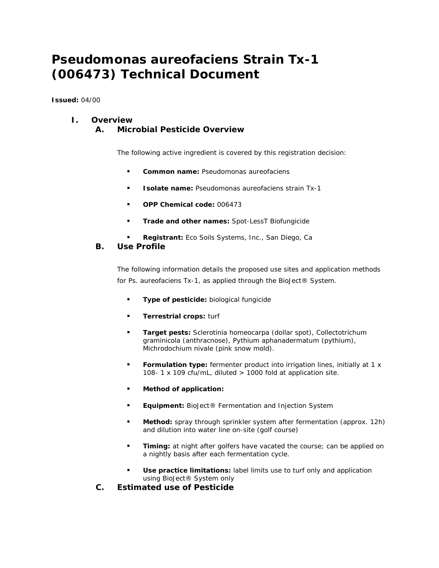# *Pseudomonas aureofaciens* **Strain Tx-1 (006473) Technical Document**

**Issued:** 04/00

## **I. Overview**

**A. Microbial Pesticide Overview** 

The following active ingredient is covered by this registration decision:

- **Common name:** *Pseudomonas aureofaciens*
- **Isolate name:** *Pseudomonas aureofaciens* strain Tx-1
- **OPP Chemical code:** 006473
- **Trade and other names:** Spot-LessT Biofungicide
- **Registrant:** Eco Soils Systems, Inc., San Diego, Ca

#### **B. Use Profile**

The following information details the proposed use sites and application methods for *Ps. aureofaciens* Tx-1, as applied through the BioJect® System.

- **Type of pesticide:** biological fungicide
- **Terrestrial crops: turf**
- **Target pests:** *Sclerotinia homeocarpa* (dollar spot), *Collectotrichum graminicola* (anthracnose), *Pythium aphanadermatum* (pythium), *Michrodochium nivale* (pink snow mold).
- **Formulation type:** fermenter product into irrigation lines, initially at 1 x 108- 1 x 109 cfu/mL, diluted > 1000 fold at application site.
- **Method of application:**
- **Equipment:** BioJect® Fermentation and Injection System
- **Method:** spray through sprinkler system after fermentation (approx. 12h) and dilution into water line on-site (golf course)
- **Timing:** at night after golfers have vacated the course; can be applied on a nightly basis after each fermentation cycle.
- **Use practice limitations:** label limits use to turf only and application using BioJect® System only
- **C. Estimated use of Pesticide**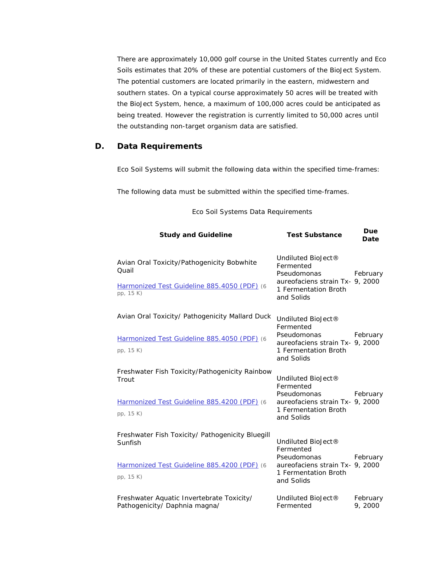There are approximately 10,000 golf course in the United States currently and Eco Soils estimates that 20% of these are potential customers of the BioJect System. The potential customers are located primarily in the eastern, midwestern and southern states. On a typical course approximately 50 acres will be treated with the BioJect System, hence, a maximum of 100,000 acres could be anticipated as being treated. However the registration is currently limited to 50,000 acres until the outstanding non-target organism data are satisfied.

## **D. Data Requirements**

Eco Soil Systems will submit the following data within the specified time-frames:

The following data must be submitted within the specified time-frames.

| <b>Study and Guideline</b>                                                                         | <b>Test Substance</b>                                                                | Due<br>Date         |
|----------------------------------------------------------------------------------------------------|--------------------------------------------------------------------------------------|---------------------|
| Avian Oral Toxicity/Pathogenicity Bobwhite<br>Quail<br>Harmonized Test Guideline 885.4050 (PDF) (6 | Undiluted BioJect®<br>Fermented<br>Pseudomonas<br>aureofaciens strain Tx- 9, 2000    | February            |
| pp, 15 K)                                                                                          | 1 Fermentation Broth<br>and Solids                                                   |                     |
| Avian Oral Toxicity/ Pathogenicity Mallard Duck                                                    | Undiluted BioJect®<br>Fermented                                                      |                     |
| Harmonized Test Guideline 885.4050 (PDF) (6                                                        | Pseudomonas<br>aureofaciens strain Tx- 9, 2000                                       | February            |
| pp, 15 K)                                                                                          | 1 Fermentation Broth<br>and Solids                                                   |                     |
| Freshwater Fish Toxicity/Pathogenicity Rainbow<br>Trout                                            | Undiluted BioJect®<br>Fermented                                                      |                     |
| Harmonized Test Guideline 885.4200 (PDF) (6<br>pp, 15 K)                                           | Pseudomonas<br>aureofaciens strain Tx- 9, 2000<br>1 Fermentation Broth<br>and Solids | February            |
| Freshwater Fish Toxicity/ Pathogenicity Bluegill<br>Sunfish                                        | Undiluted BioJect®<br>Fermented                                                      |                     |
| Harmonized Test Guideline 885.4200 (PDF) (6                                                        | Pseudomonas<br>aureofaciens strain Tx- 9, 2000                                       | February            |
| pp, 15 K)                                                                                          | 1 Fermentation Broth<br>and Solids                                                   |                     |
| Freshwater Aquatic Invertebrate Toxicity/<br>Pathogenicity/ Daphnia magna/                         | Undiluted BioJect®<br>Fermented                                                      | February<br>9, 2000 |

#### Eco Soil Systems Data Requirements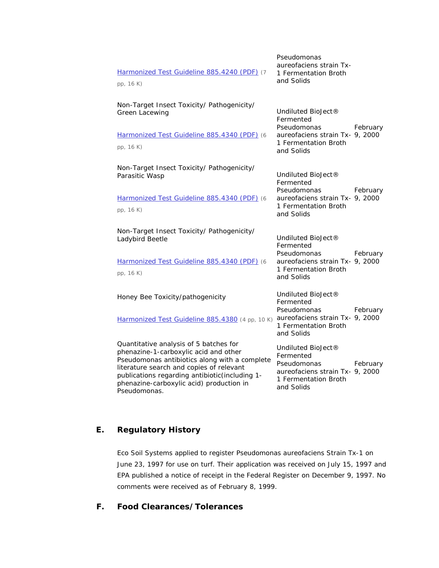| Harmonized Test Guideline 885.4240 (PDF) (7<br>pp, 16 K)                                                                                                                                                                                                                                   | Pseudomonas<br>aureofaciens strain Tx-<br>1 Fermentation Broth<br>and Solids                                            |          |
|--------------------------------------------------------------------------------------------------------------------------------------------------------------------------------------------------------------------------------------------------------------------------------------------|-------------------------------------------------------------------------------------------------------------------------|----------|
| Non-Target Insect Toxicity/ Pathogenicity/<br><b>Green Lacewing</b><br>Harmonized Test Guideline 885.4340 (PDF) (6<br>pp, 16 K)                                                                                                                                                            | Undiluted BioJect®<br>Fermented<br>Pseudomonas<br>aureofaciens strain Tx- 9, 2000<br>1 Fermentation Broth<br>and Solids | February |
| Non-Target Insect Toxicity/ Pathogenicity/<br>Parasitic Wasp<br>Harmonized Test Guideline 885.4340 (PDF) (6<br>pp, 16 K)                                                                                                                                                                   | Undiluted BioJect®<br>Fermented<br>Pseudomonas<br>aureofaciens strain Tx- 9, 2000<br>1 Fermentation Broth<br>and Solids | February |
| Non-Target Insect Toxicity/ Pathogenicity/<br>Ladybird Beetle<br>Harmonized Test Guideline 885.4340 (PDF) (6<br>pp, 16 K)                                                                                                                                                                  | Undiluted BioJect®<br>Fermented<br>Pseudomonas<br>aureofaciens strain Tx- 9, 2000<br>1 Fermentation Broth<br>and Solids | February |
| Honey Bee Toxicity/pathogenicity<br>Harmonized Test Guideline 885.4380 (4 pp, 10 K)                                                                                                                                                                                                        | Undiluted BioJect®<br>Fermented<br>Pseudomonas<br>aureofaciens strain Tx- 9, 2000<br>1 Fermentation Broth<br>and Solids | February |
| Quantitative analysis of 5 batches for<br>phenazine-1-carboxylic acid and other<br>Pseudomonas antibiotics along with a complete<br>literature search and copies of relevant<br>publications regarding antibiotic(including 1-<br>phenazine-carboxylic acid) production in<br>Pseudomonas. | Undiluted BioJect®<br>Fermented<br>Pseudomonas<br>aureofaciens strain Tx- 9, 2000<br>1 Fermentation Broth<br>and Solids | February |

## **E. Regulatory History**

Eco Soil Systems applied to register Pseudomonas aureofaciens Strain Tx-1 on June 23, 1997 for use on turf. Their application was received on July 15, 1997 and EPA published a notice of receipt in the Federal Register on December 9, 1997. No comments were received as of February 8, 1999.

## **F. Food Clearances/Tolerances**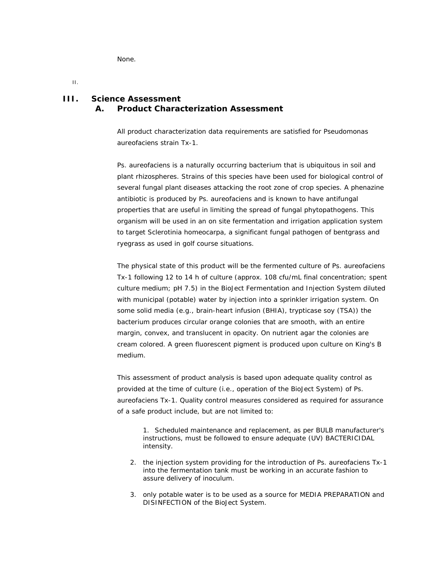None.

II.

## **III. Science Assessment A. Product Characterization Assessment**

All product characterization data requirements are satisfied for Pseudomonas aureofaciens strain Tx-1.

*Ps. aureofaciens* is a naturally occurring bacterium that is ubiquitous in soil and plant rhizospheres. Strains of this species have been used for biological control of several fungal plant diseases attacking the root zone of crop species. A phenazine antibiotic is produced by *Ps. aureofaciens* and is known to have antifungal properties that are useful in limiting the spread of fungal phytopathogens. This organism will be used in an on site fermentation and irrigation application system to target *Sclerotinia homeocarpa*, a significant fungal pathogen of bentgrass and ryegrass as used in golf course situations.

The physical state of this product will be the fermented culture of Ps. aureofaciens Tx-1 following 12 to 14 h of culture (approx. 108 cfu/mL final concentration; spent culture medium; pH 7.5) in the BioJect Fermentation and Injection System diluted with municipal (potable) water by injection into a sprinkler irrigation system. On some solid media (e.g., brain-heart infusion (BHIA), trypticase soy (TSA)) the bacterium produces circular orange colonies that are smooth, with an entire margin, convex, and translucent in opacity. On nutrient agar the colonies are cream colored. A green fluorescent pigment is produced upon culture on King's B medium.

This assessment of product analysis is based upon adequate quality control as provided at the time of culture (i.e., operation of the BioJect System) of Ps. aureofaciens Tx-1. Quality control measures considered as required for assurance of a safe product include, but are not limited to:

1. Scheduled maintenance and replacement, as per BULB manufacturer's instructions, must be followed to ensure adequate (UV) BACTERICIDAL intensity.

- 2. the injection system providing for the introduction of Ps. aureofaciens Tx-1 into the fermentation tank must be working in an accurate fashion to assure delivery of inoculum.
- 3. only potable water is to be used as a source for MEDIA PREPARATION and DISINFECTION of the BioJect System.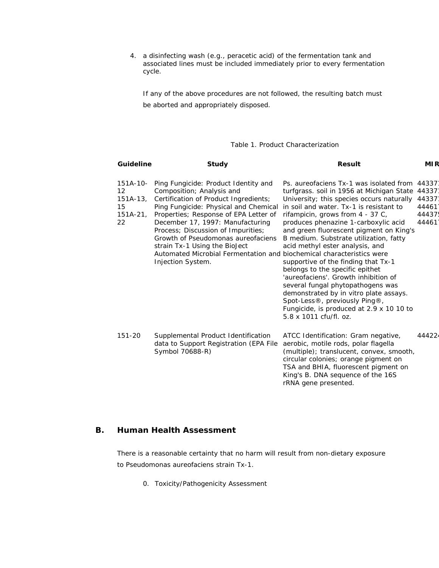4. a disinfecting wash (e.g., peracetic acid) of the fermentation tank and associated lines must be included immediately prior to every fermentation cycle.

If any of the above procedures are not followed, the resulting batch must be aborted and appropriately disposed.

#### Table 1. Product Characterization

| <b>Guideline</b>                                           | Study                                                                                                                                                                                                                                                                                                                                                                                                      | <b>Result</b>                                                                                                                                                                                                                                                                                                                                                                                                                                                                                                                                                                                                                                                                                                                | MI R                                               |
|------------------------------------------------------------|------------------------------------------------------------------------------------------------------------------------------------------------------------------------------------------------------------------------------------------------------------------------------------------------------------------------------------------------------------------------------------------------------------|------------------------------------------------------------------------------------------------------------------------------------------------------------------------------------------------------------------------------------------------------------------------------------------------------------------------------------------------------------------------------------------------------------------------------------------------------------------------------------------------------------------------------------------------------------------------------------------------------------------------------------------------------------------------------------------------------------------------------|----------------------------------------------------|
| $151A-10-$<br>12<br>$151A-13$ ,<br>15<br>$151A-21$ ,<br>22 | Ping Fungicide: Product Identity and<br>Composition; Analysis and<br>Certification of Product Ingredients;<br>Ping Fungicide: Physical and Chemical<br>Properties; Response of EPA Letter of<br>December 17, 1997: Manufacturing<br>Process; Discussion of Impurities;<br>Growth of Pseudomonas aureofaciens<br>strain Tx-1 Using the BioJect<br>Automated Microbial Fermentation and<br>Injection System. | Ps. aureofaciens Tx-1 was isolated from<br>turfgrass. soil in 1956 at Michigan State<br>University; this species occurs naturally<br>in soil and water. Tx-1 is resistant to<br>rifampicin, grows from 4 - 37 C,<br>produces phenazine 1-carboxylic acid<br>and green fluorescent pigment on King's<br>B medium. Substrate utilization, fatty<br>acid methyl ester analysis, and<br>biochemical characteristics were<br>supportive of the finding that Tx-1<br>belongs to the specific epithet<br>'aureofaciens'. Growth inhibition of<br>several fungal phytopathogens was<br>demonstrated by in vitro plate assays.<br>Spot-Less®, previously Ping®,<br>Fungicide, is produced at 2.9 x 10 10 to<br>5.8 x 1011 cfu/fl. oz. | 44337<br>44337<br>44337<br>44461<br>44437<br>44461 |
| $151 - 20$                                                 | Supplemental Product Identification<br>data to Support Registration (EPA File<br>Symbol 70688-R)                                                                                                                                                                                                                                                                                                           | ATCC Identification: Gram negative,<br>aerobic, motile rods, polar flagella<br>(multiple); translucent, convex, smooth,<br>circular colonies; orange pigment on<br>TSA and BHIA, fluorescent pigment on<br>King's B. DNA sequence of the 16S<br>rRNA gene presented.                                                                                                                                                                                                                                                                                                                                                                                                                                                         | 44422                                              |

#### **B. Human Health Assessment**

There is a reasonable certainty that no harm will result from non-dietary exposure to Pseudomonas aureofaciens strain Tx-1.

0. Toxicity/Pathogenicity Assessment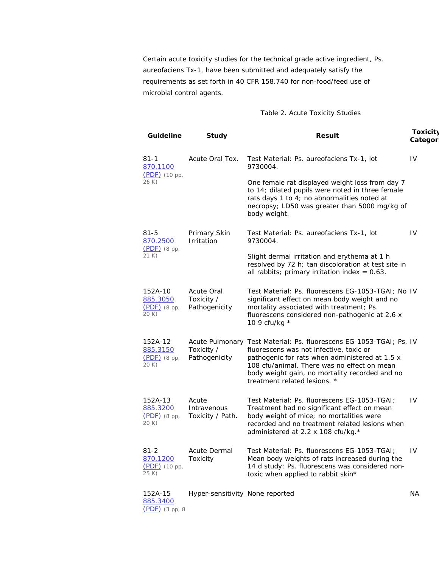Certain acute toxicity studies for the technical grade active ingredient, Ps. aureofaciens Tx-1, have been submitted and adequately satisfy the requirements as set forth in 40 CFR 158.740 for non-food/feed use of microbial control agents.

#### Table 2. Acute Toxicity Studies

| <b>Guideline</b>                               | Study                                     | <b>Result</b>                                                                                                                                                                                                                                                                                     | <b>Toxicity</b><br>Categor |
|------------------------------------------------|-------------------------------------------|---------------------------------------------------------------------------------------------------------------------------------------------------------------------------------------------------------------------------------------------------------------------------------------------------|----------------------------|
| $81 - 1$<br><u>870.1100</u>                    | Acute Oral Tox.                           | Test Material: Ps. aureofaciens Tx-1, lot<br>9730004.                                                                                                                                                                                                                                             | IV                         |
| $(PDF)$ (10 pp,<br>26 K)                       |                                           | One female rat displayed weight loss from day 7<br>to 14; dilated pupils were noted in three female<br>rats days 1 to 4; no abnormalities noted at<br>necropsy; LD50 was greater than 5000 mg/kg of<br>body weight.                                                                               |                            |
| $81 - 5$<br>870.2500                           | Primary Skin<br>Irritation                | Test Material: Ps. aureofaciens Tx-1, lot<br>9730004.                                                                                                                                                                                                                                             | IV                         |
| $(PDF)$ (8 pp,<br>21 K)                        |                                           | Slight dermal irritation and erythema at 1 h<br>resolved by 72 h; tan discoloration at test site in<br>all rabbits; primary irritation index = $0.63$ .                                                                                                                                           |                            |
| 152A-10<br>885.3050<br>$(PDF)$ (8 pp,<br>20 K) | Acute Oral<br>Toxicity /<br>Pathogenicity | Test Material: Ps. fluorescens EG-1053-TGAI; No IV<br>significant effect on mean body weight and no<br>mortality associated with treatment; Ps.<br>fluorescens considered non-pathogenic at 2.6 x<br>10 9 cfu/kg *                                                                                |                            |
| 152A-12<br>885.3150<br>$(PDF)$ (8 pp,<br>20 K) | Toxicity /<br>Pathogenicity               | Acute Pulmonary Test Material: Ps. fluorescens EG-1053-TGAI; Ps. IV<br>fluorescens was not infective, toxic or<br>pathogenic for rats when administered at 1.5 x<br>108 cfu/animal. There was no effect on mean<br>body weight gain, no mortality recorded and no<br>treatment related lesions. * |                            |
| 152A-13<br>885.3200<br>$(PDF)$ (8 pp,<br>20 K) | Acute<br>Intravenous<br>Toxicity / Path.  | Test Material: Ps. fluorescens EG-1053-TGAI;<br>Treatment had no significant effect on mean<br>body weight of mice; no mortalities were<br>recorded and no treatment related lesions when<br>administered at 2.2 x 108 cfu/kg.*                                                                   | IV                         |
| $81 - 2$<br>870.1200<br>(PDF) (10 pp,<br>25 K) | <b>Acute Dermal</b><br>Toxicity           | Test Material: Ps. fluorescens EG-1053-TGAI;<br>Mean body weights of rats increased during the<br>14 d study; Ps. fluorescens was considered non-<br>toxic when applied to rabbit skin*                                                                                                           | IV                         |
| 152A-15                                        | Hyper-sensitivity None reported           |                                                                                                                                                                                                                                                                                                   | NА                         |

885.3400 (PDF) (3 pp, 8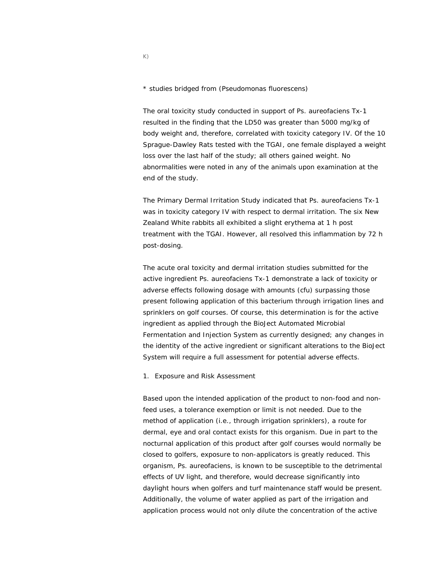\* studies bridged from (Pseudomonas fluorescens)

The oral toxicity study conducted in support of Ps. aureofaciens Tx-1 resulted in the finding that the LD50 was greater than 5000 mg/kg of body weight and, therefore, correlated with toxicity category IV. Of the 10 Sprague-Dawley Rats tested with the TGAI, one female displayed a weight loss over the last half of the study; all others gained weight. No abnormalities were noted in any of the animals upon examination at the end of the study.

The Primary Dermal Irritation Study indicated that Ps. aureofaciens Tx-1 was in toxicity category IV with respect to dermal irritation. The six New Zealand White rabbits all exhibited a slight erythema at 1 h post treatment with the TGAI. However, all resolved this inflammation by 72 h post-dosing.

The acute oral toxicity and dermal irritation studies submitted for the active ingredient Ps. aureofaciens Tx-1 demonstrate a lack of toxicity or adverse effects following dosage with amounts (cfu) surpassing those present following application of this bacterium through irrigation lines and sprinklers on golf courses. Of course, this determination is for the active ingredient as applied through the BioJect Automated Microbial Fermentation and Injection System as currently designed; any changes in the identity of the active ingredient or significant alterations to the BioJect System will require a full assessment for potential adverse effects.

1. Exposure and Risk Assessment

Based upon the intended application of the product to non-food and nonfeed uses, a tolerance exemption or limit is not needed. Due to the method of application (i.e., through irrigation sprinklers), a route for dermal, eye and oral contact exists for this organism. Due in part to the nocturnal application of this product after golf courses would normally be closed to golfers, exposure to non-applicators is greatly reduced. This organism, Ps. aureofaciens, is known to be susceptible to the detrimental effects of UV light, and therefore, would decrease significantly into daylight hours when golfers and turf maintenance staff would be present. Additionally, the volume of water applied as part of the irrigation and application process would not only dilute the concentration of the active

K)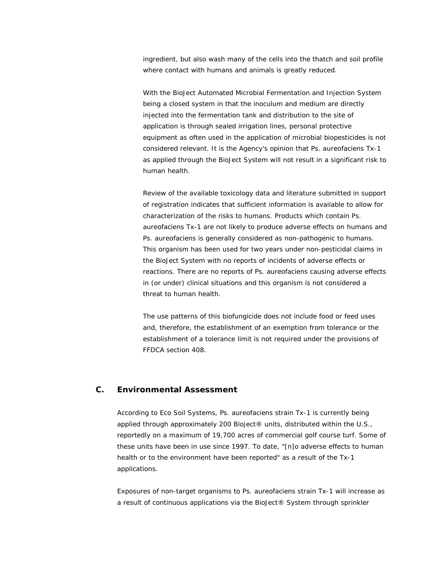ingredient, but also wash many of the cells into the thatch and soil profile where contact with humans and animals is greatly reduced.

With the BioJect Automated Microbial Fermentation and Injection System being a closed system in that the inoculum and medium are directly injected into the fermentation tank and distribution to the site of application is through sealed irrigation lines, personal protective equipment as often used in the application of microbial biopesticides is not considered relevant. It is the Agency's opinion that Ps. aureofaciens Tx-1 as applied through the BioJect System will not result in a significant risk to human health.

Review of the available toxicology data and literature submitted in support of registration indicates that sufficient information is available to allow for characterization of the risks to humans. Products which contain Ps. aureofaciens Tx-1 are not likely to produce adverse effects on humans and Ps. aureofaciens is generally considered as non-pathogenic to humans. This organism has been used for two years under non-pesticidal claims in the BioJect System with no reports of incidents of adverse effects or reactions. There are no reports of Ps. aureofaciens causing adverse effects in (or under) clinical situations and this organism is not considered a threat to human health.

The use patterns of this biofungicide does not include food or feed uses and, therefore, the establishment of an exemption from tolerance or the establishment of a tolerance limit is not required under the provisions of FFDCA section 408.

#### **C. Environmental Assessment**

According to Eco Soil Systems, Ps. aureofaciens strain Tx-1 is currently being applied through approximately 200 Bioject® units, distributed within the U.S., reportedly on a maximum of 19,700 acres of commercial golf course turf. Some of these units have been in use since 1997. To date, "[n]o adverse effects to human health or to the environment have been reported" as a result of the Tx-1 applications.

Exposures of non-target organisms to Ps. aureofaciens strain Tx-1 will increase as a result of continuous applications via the BioJect® System through sprinkler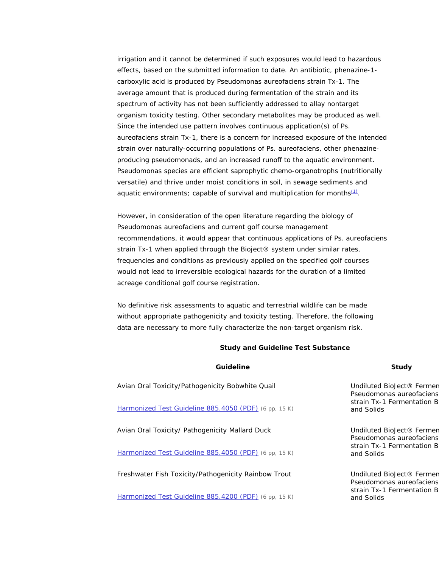irrigation and it cannot be determined if such exposures would lead to hazardous effects, based on the submitted information to date. An antibiotic, phenazine-1 carboxylic acid is produced by Pseudomonas aureofaciens strain Tx-1. The average amount that is produced during fermentation of the strain and its spectrum of activity has not been sufficiently addressed to allay nontarget organism toxicity testing. Other secondary metabolites may be produced as well. Since the intended use pattern involves continuous application(s) of Ps. aureofaciens strain Tx-1, there is a concern for increased exposure of the intended strain over naturally-occurring populations of Ps. aureofaciens, other phenazineproducing pseudomonads, and an increased runoff to the aquatic environment. Pseudomonas species are efficient saprophytic chemo-organotrophs (nutritionally versatile) and thrive under moist conditions in soil, in sewage sediments and aquatic environments; capable of survival and multiplication for months $(1)$ .

However, in consideration of the open literature regarding the biology of Pseudomonas aureofaciens and current golf course management recommendations, it would appear that continuous applications of Ps. aureofaciens strain Tx-1 when applied through the Bioject® system under similar rates, frequencies and conditions as previously applied on the specified golf courses would not lead to irreversible ecological hazards for the duration of a limited acreage conditional golf course registration.

No definitive risk assessments to aquatic and terrestrial wildlife can be made without appropriate pathogenicity and toxicity testing. Therefore, the following data are necessary to more fully characterize the non-target organism risk.

#### **Study and Guideline Test Substance**

| Guideline                                             | Study                                                 |  |
|-------------------------------------------------------|-------------------------------------------------------|--|
| Avian Oral Toxicity/Pathogenicity Bobwhite Quail      | Undiluted BioJect® Fermen<br>Pseudomonas aureofaciens |  |
| Harmonized Test Guideline 885.4050 (PDF) (6 pp, 15 K) | strain Tx-1 Fermentation B<br>and Solids              |  |
| Avian Oral Toxicity/ Pathogenicity Mallard Duck       | Undiluted BioJect® Fermen<br>Pseudomonas aureofaciens |  |
| Harmonized Test Guideline 885.4050 (PDF) (6 pp, 15 K) | strain Tx-1 Fermentation B<br>and Solids              |  |
| Freshwater Fish Toxicity/Pathogenicity Rainbow Trout  | Undiluted BioJect® Fermen<br>Pseudomonas aureofaciens |  |
| Harmonized Test Guideline 885.4200 (PDF) (6 pp, 15 K) | strain Tx-1 Fermentation B<br>and Solids              |  |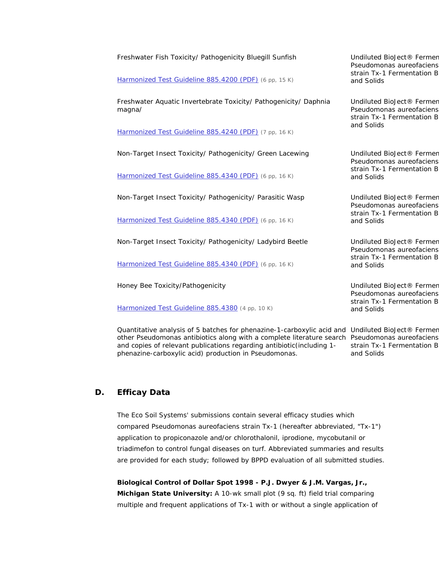| Freshwater Fish Toxicity/ Pathogenicity Bluegill Sunfish                                                                                                                                           | Undiluted BioJect® Fermen<br>Pseudomonas aureofaciens<br>strain Tx-1 Fermentation B<br>and Solids |  |
|----------------------------------------------------------------------------------------------------------------------------------------------------------------------------------------------------|---------------------------------------------------------------------------------------------------|--|
| Harmonized Test Guideline 885.4200 (PDF) (6 pp, 15 K)                                                                                                                                              |                                                                                                   |  |
| Freshwater Aquatic Invertebrate Toxicity/ Pathogenicity/ Daphnia<br>magna/                                                                                                                         | Undiluted BioJect® Fermen<br>Pseudomonas aureofaciens<br>strain Tx-1 Fermentation B               |  |
| Harmonized Test Guideline 885.4240 (PDF) (7 pp, 16 K)                                                                                                                                              | and Solids                                                                                        |  |
| Non-Target Insect Toxicity/ Pathogenicity/ Green Lacewing                                                                                                                                          | Undiluted BioJect® Fermen<br>Pseudomonas aureofaciens<br>strain Tx-1 Fermentation B<br>and Solids |  |
| Harmonized Test Guideline 885.4340 (PDF) (6 pp, 16 K)                                                                                                                                              |                                                                                                   |  |
| Non-Target Insect Toxicity/ Pathogenicity/ Parasitic Wasp                                                                                                                                          | Undiluted BioJect® Fermen<br>Pseudomonas aureofaciens<br>strain Tx-1 Fermentation B<br>and Solids |  |
| Harmonized Test Guideline 885.4340 (PDF) (6 pp, 16 K)                                                                                                                                              |                                                                                                   |  |
| Non-Target Insect Toxicity/ Pathogenicity/ Ladybird Beetle                                                                                                                                         | Undiluted BioJect® Fermen<br>Pseudomonas aureofaciens<br>strain Tx-1 Fermentation B<br>and Solids |  |
| Harmonized Test Guideline 885.4340 (PDF) (6 pp, 16 K)                                                                                                                                              |                                                                                                   |  |
| Honey Bee Toxicity/Pathogenicity                                                                                                                                                                   | Undiluted BioJect® Fermen<br>Pseudomonas aureofaciens<br>strain Tx-1 Fermentation B<br>and Solids |  |
| Harmonized Test Guideline 885.4380 (4 pp, 10 K)                                                                                                                                                    |                                                                                                   |  |
| Quantitative analysis of 5 batches for phenazine-1-carboxylic acid and Undiluted BioJect® Fermer<br>other Pseudomonas antibiotics along with a complete literature search Pseudomonas aureofaciens |                                                                                                   |  |

strain Tx-1 Fermentation B

and Solids

**D. Efficay Data** 

The Eco Soil Systems' submissions contain several efficacy studies which compared Pseudomonas aureofaciens strain Tx-1 (hereafter abbreviated, "Tx-1") application to propiconazole and/or chlorothalonil, iprodione, mycobutanil or triadimefon to control fungal diseases on turf. Abbreviated summaries and results are provided for each study; followed by BPPD evaluation of all submitted studies.

and copies of relevant publications regarding antibiotic(including 1-

phenazine-carboxylic acid) production in Pseudomonas.

*Biological Control of Dollar Spot 1998 - P.J. Dwyer & J.M. Vargas, Jr., Michigan State University:* A 10-wk small plot (9 sq. ft) field trial comparing multiple and frequent applications of Tx-1 with or without a single application of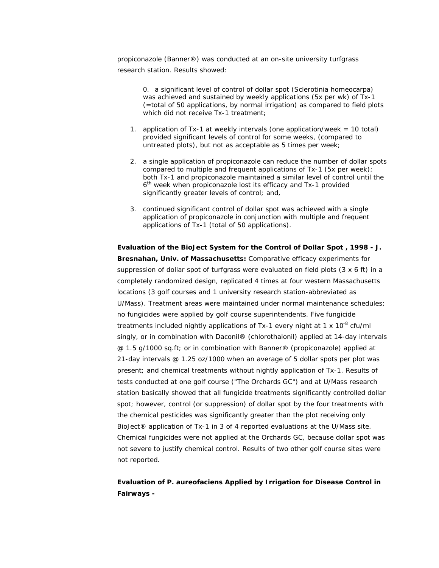propiconazole (Banner®) was conducted at an on-site university turfgrass research station. Results showed:

> 0. a significant level of control of dollar spot (*Sclerotinia homeocarpa*) was achieved and sustained by weekly applications (5x per wk) of Tx-1 (=total of 50 applications, by normal irrigation) as compared to field plots which did not receive Tx-1 treatment;

- 1. application of Tx-1 at weekly intervals (one application/week = 10 total) provided significant levels of control for some weeks, (compared to untreated plots), but not as acceptable as 5 times per week;
- 2. a single application of propiconazole can reduce the number of dollar spots compared to multiple and frequent applications of Tx-1 (5x per week); both Tx-1 and propiconazole maintained a similar level of control until the 6<sup>th</sup> week when propiconazole lost its efficacy and Tx-1 provided significantly greater levels of control; and,
- 3. continued significant control of dollar spot was achieved with a single application of propiconazole in conjunction with multiple and frequent applications of Tx-1 (total of 50 applications).

*Evaluation of the BioJect System for the Control of Dollar Spot , 1998 - J. Bresnahan, Univ. of Massachusetts:* Comparative efficacy experiments for suppression of dollar spot of turfgrass were evaluated on field plots  $(3 \times 6 \text{ ft})$  in a completely randomized design, replicated 4 times at four western Massachusetts locations (3 golf courses and 1 university research station-abbreviated as U/Mass). Treatment areas were maintained under normal maintenance schedules; no fungicides were applied by golf course superintendents. Five fungicide treatments included nightly applications of Tx-1 every night at 1 x  $10^{-8}$  cfu/ml singly, or in combination with Daconil® (chlorothalonil) applied at 14-day intervals @ 1.5 g/1000 sq.ft; or in combination with Banner® (propiconazole) applied at 21-day intervals @ 1.25 oz/1000 when an average of 5 dollar spots per plot was present; and chemical treatments without nightly application of Tx-1. Results of tests conducted at one golf course ("The Orchards GC") and at U/Mass research station basically showed that all fungicide treatments significantly controlled dollar spot; however, control (or suppression) of dollar spot by the four treatments with the chemical pesticides was significantly greater than the plot receiving only BioJect® application of Tx-1 in 3 of 4 reported evaluations at the U/Mass site. Chemical fungicides were not applied at the Orchards GC, because dollar spot was not severe to justify chemical control. Results of two other golf course sites were not reported.

*Evaluation of P. aureofaciens Applied by Irrigation for Disease Control in Fairways -*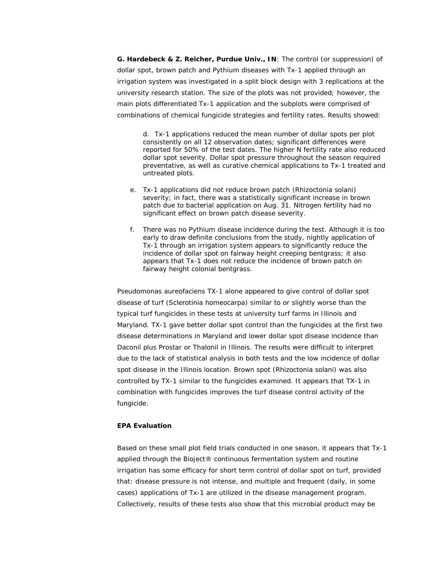*G. Hardebeck & Z. Reicher, Purdue Univ., IN:* The control (or suppression) of dollar spot, brown patch and Pythium diseases with Tx-1 applied through an irrigation system was investigated in a split block design with 3 replications at the university research station. The size of the plots was not provided; however, the main plots differentiated Tx-1 application and the subplots were comprised of combinations of chemical fungicide strategies and fertility rates. Results showed:

d. Tx-1 applications reduced the mean number of dollar spots per plot consistently on all 12 observation dates; significant differences were reported for 50% of the test dates. The higher N fertility rate also reduced dollar spot severity. Dollar spot pressure throughout the season required preventative, as well as curative chemical applications to Tx-1 treated and untreated plots.

- e. Tx-1 applications did not reduce brown patch (Rhizoctonia solani) severity; in fact, there was a statistically significant increase in brown patch due to bacterial application on Aug. 31. Nitrogen fertility had no significant effect on brown patch disease severity.
- f. There was no Pythium disease incidence during the test. Although it is too early to draw definite conclusions from the study, nightly application of Tx-1 through an irrigation system appears to significantly reduce the incidence of dollar spot on fairway height creeping bentgrass; it also appears that Tx-1 does not reduce the incidence of brown patch on fairway height colonial bentgrass.

Pseudomonas aureofaciens TX-1 alone appeared to give control of dollar spot disease of turf (Sclerotinia homeocarpa) similar to or slightly worse than the typical turf fungicides in these tests at university turf farms in Illinois and Maryland. TX-1 gave better dollar spot control than the fungicides at the first two disease determinations in Maryland and lower dollar spot disease incidence than Daconil plus Prostar or Thalonil in Illinois. The results were difficult to interpret due to the lack of statistical analysis in both tests and the low incidence of dollar spot disease in the Illinois location. Brown spot (Rhizoctonia solani) was also controlled by TX-1 similar to the fungicides examined. It appears that TX-1 in combination with fungicides improves the turf disease control activity of the fungicide.

#### **EPA Evaluation**

Based on these small plot field trials conducted in one season, it appears that Tx-1 applied through the Bioject® continuous fermentation system and routine irrigation has some efficacy for short term control of dollar spot on turf, provided that: disease pressure is not intense, and multiple and frequent (daily, in some cases) applications of Tx-1 are utilized in the disease management program. Collectively, results of these tests also show that this microbial product may be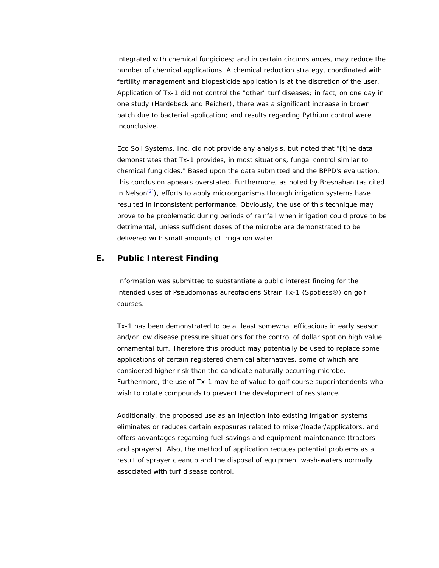integrated with chemical fungicides; and in certain circumstances, may reduce the number of chemical applications. A chemical reduction strategy, coordinated with fertility management and biopesticide application is at the discretion of the user. Application of Tx-1 did not control the "other" turf diseases; in fact, on one day in one study (Hardebeck and Reicher), there was a significant increase in brown patch due to bacterial application; and results regarding Pythium control were inconclusive.

Eco Soil Systems, Inc. did not provide any analysis, but noted that "[t]he data demonstrates that Tx-1 provides, in most situations, fungal control similar to chemical fungicides." Based upon the data submitted and the BPPD's evaluation, this conclusion appears overstated. Furthermore, as noted by Bresnahan (as cited in Nelson $(2)$ , efforts to apply microorganisms through irrigation systems have resulted in inconsistent performance. Obviously, the use of this technique may prove to be problematic during periods of rainfall when irrigation could prove to be detrimental, unless sufficient doses of the microbe are demonstrated to be delivered with small amounts of irrigation water.

#### **E. Public Interest Finding**

Information was submitted to substantiate a public interest finding for the intended uses of Pseudomonas aureofaciens Strain Tx-1 (Spotless®) on golf courses.

Tx-1 has been demonstrated to be at least somewhat efficacious in early season and/or low disease pressure situations for the control of dollar spot on high value ornamental turf. Therefore this product may potentially be used to replace some applications of certain registered chemical alternatives, some of which are considered higher risk than the candidate naturally occurring microbe. Furthermore, the use of Tx-1 may be of value to golf course superintendents who wish to rotate compounds to prevent the development of resistance.

Additionally, the proposed use as an injection into existing irrigation systems eliminates or reduces certain exposures related to mixer/loader/applicators, and offers advantages regarding fuel-savings and equipment maintenance (tractors and sprayers). Also, the method of application reduces potential problems as a result of sprayer cleanup and the disposal of equipment wash-waters normally associated with turf disease control.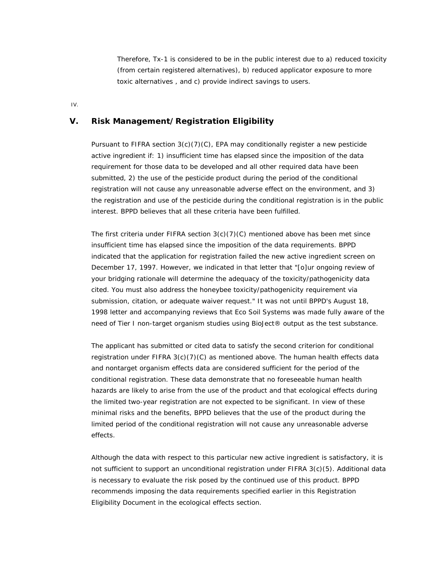Therefore, Tx-1 is considered to be in the public interest due to a) reduced toxicity (from certain registered alternatives), b) reduced applicator exposure to more toxic alternatives , and c) provide indirect savings to users.

IV.

#### **V. Risk Management/Registration Eligibility**

Pursuant to FIFRA section  $3(c)(7)(C)$ , EPA may conditionally register a new pesticide active ingredient if: 1) insufficient time has elapsed since the imposition of the data requirement for those data to be developed and all other required data have been submitted, 2) the use of the pesticide product during the period of the conditional registration will not cause any unreasonable adverse effect on the environment, and 3) the registration and use of the pesticide during the conditional registration is in the public interest. BPPD believes that all these criteria have been fulfilled.

The first criteria under FIFRA section  $3(c)(7)(C)$  mentioned above has been met since insufficient time has elapsed since the imposition of the data requirements. BPPD indicated that the application for registration failed the new active ingredient screen on December 17, 1997. However, we indicated in that letter that "[o]ur ongoing review of your bridging rationale will determine the adequacy of the toxicity/pathogenicity data cited. You must also address the honeybee toxicity/pathogenicity requirement via submission, citation, or adequate waiver request." It was not until BPPD's August 18, 1998 letter and accompanying reviews that Eco Soil Systems was made fully aware of the need of Tier I non-target organism studies using BioJect® output as the test substance.

The applicant has submitted or cited data to satisfy the second criterion for conditional registration under FIFRA 3(c)(7)(C) as mentioned above. The human health effects data and nontarget organism effects data are considered sufficient for the period of the conditional registration. These data demonstrate that no foreseeable human health hazards are likely to arise from the use of the product and that ecological effects during the limited two-year registration are not expected to be significant. In view of these minimal risks and the benefits, BPPD believes that the use of the product during the limited period of the conditional registration will not cause any unreasonable adverse effects.

Although the data with respect to this particular new active ingredient is satisfactory, it is not sufficient to support an unconditional registration under FIFRA 3(c)(5). Additional data is necessary to evaluate the risk posed by the continued use of this product. BPPD recommends imposing the data requirements specified earlier in this Registration Eligibility Document in the ecological effects section.